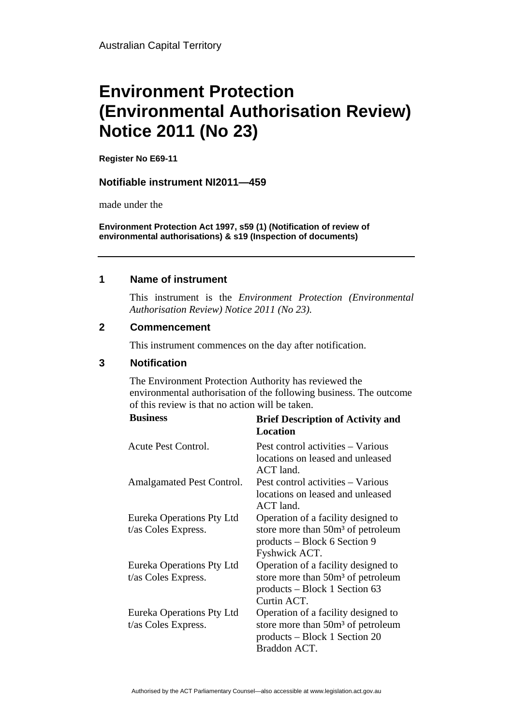# **Environment Protection (Environmental Authorisation Review) Notice 2011 (No 23)**

**Register No E69-11**

## **Notifiable instrument NI2011—459**

made under the

**Environment Protection Act 1997, s59 (1) (Notification of review of environmental authorisations) & s19 (Inspection of documents)**

## **1 Name of instrument**

This instrument is the *Environment Protection (Environmental Authorisation Review) Notice 2011 (No 23).* 

#### **2 Commencement**

This instrument commences on the day after notification.

# **3 Notification**

The Environment Protection Authority has reviewed the environmental authorisation of the following business. The outcome of this review is that no action will be taken.

| <b>Business</b>                                  | <b>Brief Description of Activity and</b><br><b>Location</b>                                                                           |
|--------------------------------------------------|---------------------------------------------------------------------------------------------------------------------------------------|
| Acute Pest Control.                              | Pest control activities – Various<br>locations on leased and unleased<br>ACT land.                                                    |
| Amalgamated Pest Control.                        | Pest control activities – Various<br>locations on leased and unleased<br>ACT land.                                                    |
| Eureka Operations Pty Ltd<br>t/as Coles Express. | Operation of a facility designed to<br>store more than 50m <sup>3</sup> of petroleum<br>products – Block 6 Section 9<br>Fyshwick ACT. |
| Eureka Operations Pty Ltd<br>t/as Coles Express. | Operation of a facility designed to<br>store more than 50m <sup>3</sup> of petroleum<br>products – Block 1 Section 63<br>Curtin ACT.  |
| Eureka Operations Pty Ltd<br>t/as Coles Express. | Operation of a facility designed to<br>store more than 50m <sup>3</sup> of petroleum<br>products – Block 1 Section 20<br>Braddon ACT. |